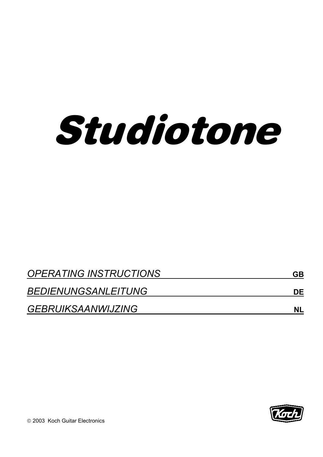

| <b>OPERATING INSTRUCTIONS</b> | GB        |  |
|-------------------------------|-----------|--|
| <b>BEDIENUNGSANLEITUNG</b>    | DE        |  |
| <b>GEBRUIKSAANWIJZING</b>     | <b>NL</b> |  |

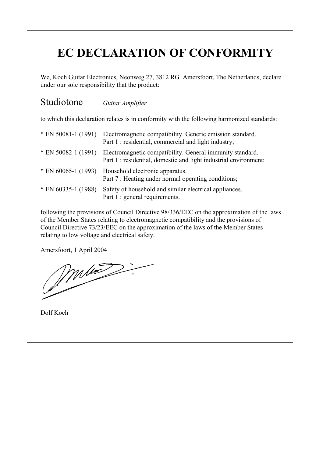# **EC DECLARATION OF CONFORMITY**

We, Koch Guitar Electronics, Neonweg 27, 3812 RG Amersfoort, The Netherlands, declare under our sole responsibility that the product:

## Studiotone *Guitar Amplifier*

to which this declaration relates is in conformity with the following harmonized standards:

| $*$ EN 50081-1 (1991) | Electromagnetic compatibility. Generic emission standard.<br>Part 1 : residential, commercial and light industry;             |
|-----------------------|-------------------------------------------------------------------------------------------------------------------------------|
| $*$ EN 50082-1 (1991) | Electromagnetic compatibility. General immunity standard.<br>Part 1 : residential, domestic and light industrial environment; |
| $*$ EN 60065-1 (1993) | Household electronic apparatus.<br>Part 7 : Heating under normal operating conditions;                                        |
| $*$ EN 60335-1 (1988) | Safety of household and similar electrical appliances.<br>Part 1 : general requirements.                                      |

following the provisions of Council Directive 98/336/EEC on the approximation of the laws of the Member States relating to electromagnetic compatibility and the provisions of Council Directive 73/23/EEC on the approximation of the laws of the Member States relating to low voltage and electrical safety.

Amersfoort, 1 April 2004

Dolf Koch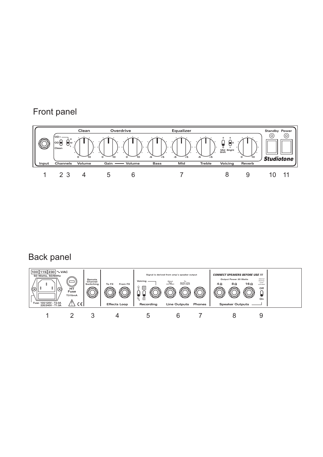## Front panel



## Back panel

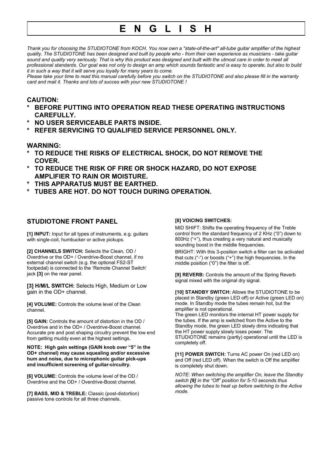## **E N G L I S H**

*Thank you for choosing the STUDIOTONE from KOCH. You now own a "state-of-the-art" all-tube guitar amplifier of the highest quality. The STUDIOTONE has been designed and built by people who - from their own experience as musicians - take guitar sound and quality very seriously. That is why this product was designed and built with the utmost care in order to meet all professional standards. Our goal was not only to design an amp which sounds fantastic and is easy to operate, but also to build it in such a way that it will serve you loyally for many years to come.*

*Please take your time to read this manual carefully before you switch on the STUDIOTONE and also please fill in the warranty card and mail it. Thanks and lots of succes with your new STUDIOTONE !*

### **CAUTION:**

- **\* BEFORE PUTTING INTO OPERATION READ THESE OPERATING INSTRUCTIONS CAREFULLY.**
- **\* NO USER SERVICEABLE PARTS INSIDE.**
- **\* REFER SERVICING TO QUALIFIED SERVICE PERSONNEL ONLY.**

#### **WARNING:**

- **\* TO REDUCE THE RISKS OF ELECTRICAL SHOCK, DO NOT REMOVE THE COVER.**
- **\* TO REDUCE THE RISK OF FIRE OR SHOCK HAZARD, DO NOT EXPOSE AMPLIFIER TO RAIN OR MOISTURE.**
- **\* THIS APPARATUS MUST BE EARTHED.**
- **TUBES ARE HOT. DO NOT TOUCH DURING OPERATION.**

### **STUDIOTONE FRONT PANEL**

**[1] INPUT:** Input for all types of instruments, e.g. guitars with single-coil, humbucker or active pickups.

**[2] CHANNELS SWITCH:** Selects the Clean, OD / Overdrive or the OD+ / Overdrive-Boost channel, if no external channel switch (e.g. the optional FS2-ST footpedal) is connected to the 'Remote Channel Switch' jack **[3]** on the rear panel.

**[3] H/M/L SWITCH:** Selects High, Medium or Low gain in the OD+ channel.

**[4] VOLUME:** Controls the volume level of the Clean channel.

**[5] GAIN:** Controls the amount of distortion in the OD / Overdrive and in the OD+ / Overdrive-Boost channel. Accurate pre and post shaping circuitry prevent the low end from getting muddy even at the highest settings.

**NOTE: High gain settings (GAIN knob over "5" in the OD+ channel) may cause squealing and/or excessive hum and noise, due to microphonic guitar pick-ups and insufficient screening of guitar-circuitry.**

**[6] VOLUME:** Controls the volume level of the OD / Overdrive and the OD+ / Overdrive-Boost channel.

**[7] BASS, MID & TREBLE:** Classic (post-distortion) passive tone controls for all three channels.

#### **[8] VOICING SWITCHES:**

MID SHIFT: Shifts the operating frequency of the Treble control from the standard frequency of 2 KHz ("0") down to 800Hz ("+"), thus creating a very natural and musically sounding boost in the middle frequencies.

BRIGHT: With this 3-position switch a filter can be activated that cuts ("-") or boosts ("+") the high frequencies. In the middle position ("0") the filter is off.

**[9] REVERB:** Controls the amount of the Spring Reverb signal mixed with the original dry signal.

**[10] STANDBY SWITCH:** Allows the STUDIOTONE to be placed in Standby (green LED off) or Active (green LED on) mode. In Standby mode the tubes remain hot, but the amplifier is not operational.

The green LED monitors the internal HT power supply for the tubes. If the amp is switched from the Active to the Standby mode, the green LED slowly dims indicating that the HT power supply slowly loses power. The STUDIOTONE remains (partly) operational until the LED is completely off.

[11] POWER SWITCH: Turns AC power On (red LED on) and Off (red LED off). When the switch is Off the amplifier is completely shut down.

*NOTE: When switching the amplifier On, leave the Standby switch [9] in the "Off" position for 5-10 seconds thus allowing the tubes to heat up before switching to the Active mode.*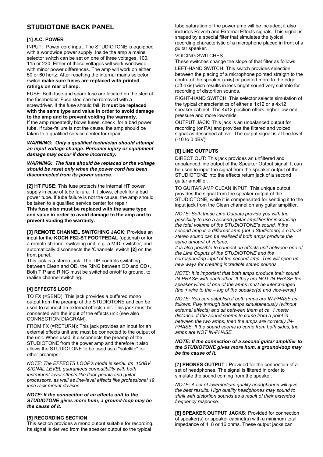## **STUDIOTONE BACK PANEL**

#### **[1] A.C. POWER**

INPUT: Power cord input. The STUDIOTONE is equipped with a worldwide power supply. Inside the amp a mains selector switch can be set on one of three voltages, 100, 115 or 230. Either of these voltages will work worldwide with minor power differences. The amp will work on either 50 or 60 hertz. After resetting the internal mains selector switch **make sure fuses are replaced with printed ratings on rear of amp.**

FUSE: Both fuse and spare fuse are located on the sled of the fuseholder. Fuse sled can be removed with a screwdriver. If the fuse should fail, **it must be replaced with the same type and value in order to avoid damage to the amp and to prevent voiding the warranty.** If the amp repeatedly blows fuses, check for a bad power tube. If tube-failure is not the cause, the amp should be taken to a qualified service center for repair.

*WARNING: Only a qualified technician should attempt an input voltage change. Personel injury or equipment damage may occur if done incorrectly.*

*WARNING: The fuse should be replaced or the voltage should be reset only when the power cord has been disconnected from its power source.*

**[2] HT FUSE:** This fuse protects the internal HT power supply in case of tube failure. If it blows, check for a bad power tube. If tube failure is not the cause, the amp should be taken to a qualified service center for repair.

**This fuse also must be replaced with the same type and value in order to avoid damage to the amp and to prevent voiding the warranty.**

**[3] REMOTE CHANNEL SWITCHING JACK:** Provides an input for the **KOCH FS2-ST FOOTPEDAL** (optional) or for a remote channel switching unit, e.g. a MIDI switcher, and automatically disconnects the 'Channels' switch **[2]** on the front panel.

This jack is a stereo jack. The TIP controls switching between Clean and OD, the RING between OD and OD+. Both TIP and RING must be switched on/off to ground, to realise channel switching.

#### **[4] EFFECTS LOOP**

TO FX (=SEND): This jack provides a buffered mono output from the preamp of the STUDIOTONE and can be used to connect an external effects unit**.** This jack must be connected with the input of the effects unit (see also CONNECTION DIAGRAM).

FROM FX (=RETURN): This jack provides an input for an external effects unit and must be connected to the output of the unit. When used, it disconnects the preamp of the STUDIOTONE from the power amp and therefore it also allows the STUDIOTONE to be used as a "satellite" for other preamps.

*NOTE: The EFFECTS LOOP's mode is serial. Its 10dBV SIGNAL LEVEL guarantees compatibility with both instrument-level effects like floor-pedals and guitarprocessors, as well as line-level effects like professional 19 inch rack mount devices.*

#### *NOTE: If the connection of an effects unit to the STUDIOTONE gives more hum, a ground-loop may be the cause of it.*

#### **[5] RECORDING SECTION**

This section provides a mono output suitable for recording. Its signal is derived from the speaker output so the typical

tube saturation of the power amp will be included; it also includes Reverb and External Effects signals. This signal is shaped by a special filter that simulates the typical recording characteristic of a microphone placed in front of a guitar speaker.

#### VOICING SWITCHES

These switches change the slope of that filter as follows.

LEFT-HAND SWITCH: This switch provides selection between the placing of a microphone pointed straigth to the centre of the speaker (axis) or pointed more to the edge (off-axis) wich results in less bright sound very suitable for recording of distortion sounds.

RIGHT-HAND SWITCH: This selector selects simulation of the typical characteristics of either a 1x12 or a 4x12 speaker cabinet. The 4x12 position offers higher low-end pressure and more low-mids.

OUTPUT JACK: This jack is an unbalanced output for recording (or PA) and provides the filtered and voiced signal as described above. The output signal is at line level (-10 to 0 dBV).

#### **[6] LINE OUTPUTS**

DIRECT OUT: This jack provides an unfiltered and unbalanced line output of the Speaker Output signal. It can be used to input the signal from the speaker output of the STUDIOTONE into the effects return jack of a second guitar amplifier.

TO GUITAR AMP CLEAN INPUT: This unique output provides the signal from the speaker output of the STUDIOTONE, while it is compensated for sending it to the input jack from the Clean channel on any guitar amplifier.

*NOTE: Both these Line Outputs provide you with the possibility to use a second guitar amplifier for increasing the total volume of the STUDIOTONE's sound. If the second amp is a different amp (not a Studiotone) a natural stereo sound can be realised if both amps produce the same amount of volume.*

*It is also possible to connect an effects unit between one of the Line Ouputs of the STUDIOTONE and the corresponding input of the second amp. This will open up new ways for creating incredible stereo sounds.*

*NOTE: It is important that both amps produce their sound IN-PHASE with each other. If they are NOT IN-PHASE the speaker wires of one of the amps must be interchanged (the + wire to the – lug of the speaker(s) and vice-versa)*

*NOTE: You can establish if both amps are IN-PHASE as follows: Play through both amps simultaneously (without external effects) and sit between them at ca. 1 meter distance. If the sound seems to come from a point in between the two amps, then the amps are correctly IN-PHASE. If the sound seems to come from both sides, the amps are NOT IN-PHASE.*

#### *NOTE: If the connection of a second guitar amplifier to the STUDIOTONE gives more hum, a ground-loop may be the cause of it.*

**[7] PHONES OUTPUT :** Provided for the connection of a set of headphones. The signal is filtered in order to simulate the sound coming from the speaker.

*NOTE: A set of low/medium quality headphones will give the best results. High quality headphones may sound to shrill with distortion sounds as a result of their extended frequency response.*

**[8] SPEAKER OUTPUT JACKS: Provided for connection** of speaker(s) or speaker cabinet(s) with a minimum total impedance of 4, 8 or 16 ohms. These output jacks can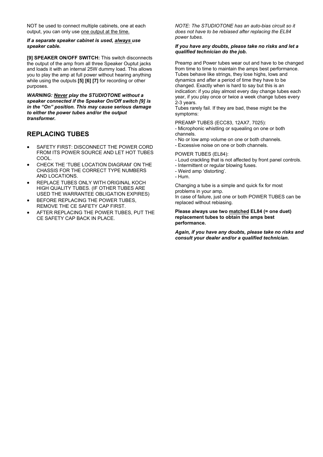NOT be used to connect multiple cabinets, one at each output, you can only use one output at the time.

#### *If a separate speaker cabinet is used, always use speaker cable.*

**[9] SPEAKER ON/OFF SWITCH:** This switch disconnects the output of the amp from all three Speaker Ouptut jacks and loads it with an internal 25W dummy load. This allows you to play the amp at full power without hearing anything while using the outputs **[5] [6] [7]** for recording or other purposes.

*WARNING: Never play the STUDIOTONE without a speaker connected if the Speaker On/Off switch [9] is in the "On" position. This may cause serious damage to either the power tubes and/or the output transformer.*

## **REPLACING TUBES**

- SAFETY FIRST: DISCONNECT THE POWER CORD FROM ITS POWER SOURCE AND LET HOT TUBES COOL.
- CHECK THE 'TUBE LOCATION DIAGRAM' ON THE CHASSIS FOR THE CORRECT TYPE NUMBERS AND LOCATIONS.
- REPLACE TUBES ONLY WITH ORIGINAL KOCH HIGH QUALITY TUBES. (IF OTHER TUBES ARE USED THE WARRANTEE OBLIGATION EXPIRES)
- BEFORE REPLACING THE POWER TUBES, REMOVE THE CE SAFETY CAP FIRST.
- AFTER REPLACING THE POWER TUBES, PUT THE CE SAFETY CAP BACK IN PLACE.

*NOTE: The STUDIOTONE has an auto-bias circuit so it does not have to be rebiased after replacing the EL84 power tubes.*

#### *If you have any doubts, please take no risks and let a qualified technician do the job.*

Preamp and Power tubes wear out and have to be changed from time to time to maintain the amps best performance. Tubes behave like strings, they lose highs, lows and dynamics and after a period of time they have to be changed. Exactly when is hard to say but this is an indication: if you play almost every day change tubes each year, if you play once or twice a week change tubes every 2-3 years.

Tubes rarely fail. If they are bad, these might be the symptoms:

PREAMP TUBES (ECC83, 12AX7, 7025):

- Microphonic whistling or squealing on one or both channels.
- No or low amp volume on one or both channels.
- Excessive noise on one or both channels.

POWER TUBES (EL84):

- Loud crackling that is not affected by front panel controls.
- Intermittent or regular blowing fuses.
- Weird amp 'distorting'.
- Hum.

Changing a tube is a simple and quick fix for most problems in your amp.

In case of failure, just one or both POWER TUBES can be replaced without rebiasing.

**Please always use two matched EL84 (= one duet) replacement tubes to obtain the amps best performance.**

*Again, if you have any doubts, please take no risks and consult your dealer and/or a qualified technician.*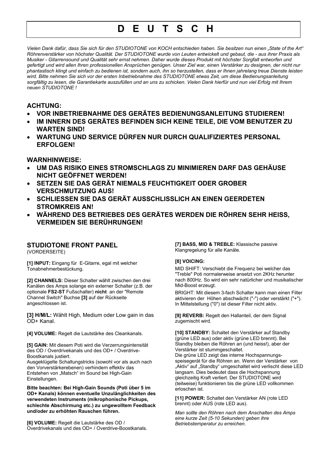## **D E U T S C H**

*Vielen Dank dafür, dass Sie sich für den STUDIOTONE von KOCH entschieden haben. Sie besitzen nun einen "State of the Art" Röhrenverstärker von höchster Qualität. Der STUDIOTONE wurde von Leuten entwickelt und gebaut, die - aus ihrer Praxis als Musiker - Gitarrensound und Qualität sehr ernst nehmen. Daher wurde dieses Produkt mit höchster Sorgfalt entworfen und gefertigt und wird allen Ihren professionellen Ansprüchen genügen. Unser Ziel war, einen Verstärker zu designen, der nicht nur phantastisch klingt und einfach zu bedienen ist, sondern auch, ihn so herzustellen, dass er Ihnen jahrelang treue Dienste leisten wird. Bitte nehmen Sie sich vor der ersten Inbetriebnahme des STUDIOTONE etwas Zeit, um diese Bedienungsanleitung sorgfältig zu lesen, die Garantiekarte auszufüllen und an uns zu schicken. Vielen Dank hierfür und nun viel Erfolg mit Ihrem neuen STUDIOTONE !*

### **ACHTUNG:**

- **VOR INBETRIEBNAHME DES GERÄTES BEDIENUNGSANLEITUNG STUDIEREN!**
- **IM INNERN DES GERÄTES BEFINDEN SICH KEINE TEILE, DIE VOM BENUTZER ZU WARTEN SIND!**
- **WARTUNG UND SERVICE DÜRFEN NUR DURCH QUALIFIZIERTES PERSONAL ERFOLGEN!**

### **WARNHINWEISE:**

- **UM DAS RISIKO EINES STROMSCHLAGS ZU MINIMIEREN DARF DAS GEHÄUSE NICHT GEÖFFNET WERDEN!**
- **SETZEN SIE DAS GERÄT NIEMALS FEUCHTIGKEIT ODER GROBER VERSCHMUTZUNG AUS!**
- **SCHLIESSEN SIE DAS GERÄT AUSSCHLISSLICH AN EINEN GEERDETEN STROMKREIS AN!**
- **WÄHREND DES BETRIEBES DES GERÄTES WERDEN DIE RÖHREN SEHR HEISS, VERMEIDEN SIE BERÜHRUNGEN!**

## **STUDIOTONE FRONT PANEL**

(VORDERSEITE)

**[1] INPUT:** Eingang für E-Gitarre, egal mit welcher Tonabnehmerbestückung.

**[2] CHANNELS:** Dieser Schalter wählt zwischen den drei Kanälen des Amps solange ein externer Schalter (z.B. der optionale **FS2-ST** Fußschalter) **nicht** an der "Remote Channel Switch" Buchse **[3]** auf der Rückseite angeschlossen ist.

**[3] H/M/L:** Wählt High, Medium oder Low gain in das OD+ Kanal.

**[4] VOLUME:** Regelt die Lautstärke des Cleankanals.

**[5] GAIN:** Mit diesem Poti wird die Verzerrungsintensität des OD / Overdrivekanals und des OD+ / Overdrive-Boostkanals justiert.

Ausgeklügelte Schaltungstricks (sowohl vor als auch nach den Vorverstärkerebenen) verhindern effektiv das Entstehen von "Matsch" im Sound bei High-Gain Einstellungen.

**Bitte beachten: Bei High-Gain Sounds (Poti über 5 im OD+ Kanals) können eventuelle Unzulänglichkeiten des verwendeten Instruments (mikrophonische Pickups, schlechte Abschirmung etc.) zu ungewolltem Feedback und/oder zu erhöhten Rauschen führen.**

**[6] VOLUME:** Regelt die Lautstärke des OD / Overdrivekanals und des OD+ / Overdrive-Boostkanals. **[7] BASS, MID & TREBLE:** Klassische passive Klangregelung für alle Kanäle.

#### **[8] VOICING:**

MID SHIFT: Verschiebt die Frequenz bei welcher das "Treble" Poti normalerweise ansetzt von 2KHz herunter nach 800Hz. So wird ein sehr natürlicher und musikalischer Mid-Boost erzeugt.

BRIGHT: Mit diesem 3-fach Schalter kann man einen Filter aktivieren der Höhen abschwächt ("-") oder verstärkt ("+"). In Mittelstellung ("0") ist dieser Filter nicht aktiv.

**[9] REVERB:** Regelt den Hallanteil, der dem Signal zugemischt wird.

**[10] STANDBY:** Schaltet den Verstärker auf Standby (grüne LED aus) oder aktiv (grüne LED brennt). Bei Standby bleiben die Röhren an (und heiss!), aber der Verstärker ist stummgeschaltet.

Die grüne LED zeigt das interne Hochspannungsspeisegerät für die Röhren an. Wenn der Verstärker von "Aktiv" auf "Standby" umgeschaltet wird verlischt diese LED langsam. Dies bedeutet dass die Hochspannung gleichzeitig Kraft verliert. Der STUDIOTONE wird (teilweise) funktionieren bis die grüne LED vollkommen erloschen ist.

**[11] POWER:** Schaltet den Verstärker AN (rote LED brennt) oder AUS (rote LED aus).

*Man sollte den Röhren nach dem Anschalten des Amps eine kurze Zeit (5-10 Sekunden) geben ihre Betriebstemperatur zu erreichen.*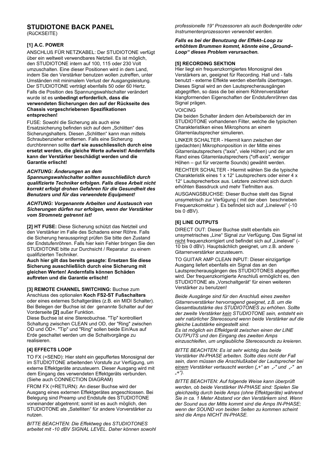### **STUDIOTONE BACK PANEL**

(RüCKSEITE)

#### **[1] A.C. POWER**

ANSCHLUß FÜR NETZKABEL: Der STUDIOTONE verfügt über ein weltweit verwendbares Netzteil. Es ist möglich, den STUDIOTONE intern auf 100, 115 oder 230 Volt umzuschalten. Eine dieser Positionen wird in dem Land, indem Sie den Verstärker benutzen wollen zutreffen, unter Umständen mit minimalem Verlust der Ausgangsleistung. Der STUDIOTONE verträgt ebenfalls 50 oder 60 Hertz. Falls die Position des Spannungswahlschalter verändert wurde ist es **unbedingt erforderlich, dass die verwendeten Sicherungen den auf der Rückseite des Chassis vorgeschriebenen Spezifikationen entsprechen!**

FUSE: Sowohl die Sicherung als auch eine Ersatzsicherung befinden sich auf dem "Schlitten" des Sicherungshalters. Diesen "Schlitten" kann man mittels Schraubenzieher entfernen. Falls eine Sicherung durchbrennen sollte **darf sie ausschliesslich durch eine ersetzt werden, die gleiche Werte aufweist! Andernfalls kann der Verstärker beschädigt werden und die Garantie erlischt!**

#### *ACHTUNG: Änderungen an dem*

*Spannungswahlschalter sollten ausschließlich durch qualifizierte Techniker erfolgen. Falls diese Arbeit nicht korrekt erfolgt drohen Gefahren für die Gesundheit des Benutzers und für das verwendete Equipment!*

*ACHTUNG: Vorgenannte Arbeiten und Austausch von Sicherungen dürfen nur erfolgen, wenn der Verstärker vom Stromnetz getrennt ist!*

**[2] HT FUSE:** Diese Sicherung schützt das Netzteil und den Verstärker im Falle des Schadens einer Röhre. Falls die Sicherung herausspringt prüfen Sie bitte den Zustand der Endstufenröhren. Falls hier kein Fehler bringen Sie den STUDIOTONE bitte zur Durchsicht / Reparatur zu einem qualifizierten Techniker.

**Auch hier gilt das bereits gesagte: Ersetzen Sie diese Sicherung ausschließlich durch eine Sicherung mit gleichen Werten! Andernfalls können Schäden auftreten und die Garantie erlischt!**

**[3] REMOTE CHANNEL SWITCHING:** Buchse zum Anschluss des optionalen **Koch FS2-ST Fußschalters** oder eines externes Schaltgerätes (z.B. ein MIDI Schalter). Bei Belegen der Buchse ist der genannte Schalter auf der Vorderseite **[2]** außer Funktion.

Diese Buchse ist eine Stereobuchse. "Tip" kontrolliert Schaltung zwischen CLEAN und OD, der "Ring" zwischen OD und OD+. "Tip" und "Ring" sollen beide Ein/Aus auf Erde geschaltet werden um die Schaltvorgänge zu realisieren.

#### **[4] EFFECTS LOOP**

TO FX (=SEND): Hier steht ein gepuffertes Monosignal der im STUDIOTONE arbeitenden Vorstufe zur Verfügung, um externe Effektgeräte anzusteuern. Dieser Ausgang wird mit dem Eingang des verwendeten Effektgeräts verbunden. (Siehe auch CONNECTION DIAGRAM)

FROM FX (=RETURN): An dieser Buchse wird der Ausgang eines externen Effektgerätes angeschlossen. Bei Belegung sind Preamp und Endstufe des STUDIOTONE voneinander abgetrennt; somit ist es auch möglich, den STUDIOTONE als "Satelliten" für andere Vorverstärker zu nutzen.

*BITTE BEACHTEN: Die Effektweg des STUDIOTONES arbeitet mit -10 dBV SIGNAL LEVEL. Daher können sowohl* *professionelle 19" Prozessoren als auch Bodengeräte oder Instrumentenprozessoren verwendet werden.*

#### *Falls es bei der Benutzung der Effekt–Loop zu erhöhtem Brummen kommt, könnte eine "Ground– Loop" dieses Problem verursachen.*

#### **[5] RECORDING SEKTION**

Hier liegt ein frequenzkorrigiertes Monosignal des Verstärkers an, geeignet für Recording. Hall und - falls benutzt - externe Effekte werden ebenfalls übertragen. Dieses Signal wird an den Lautsprecherausgängen abgegriffen, so dass die bei einem Röhrenverstärker klangformenden Eigenschaften der Endstufenröhren das Signal prägen.

VOICING

Die beiden Schalter ändern den Arbeitsbereich der im STUDIOTONE vorhandenen Filter, welche die typischen Charakteristiken eines Mikrophons an einem Gitarrenlautsprecher simulieren.

LINKER SCHALTER - Hiermit kann zwischen der (gedachten) Mikrophonposition in der Mitte eines Gitarrenlautsprechers ("axis", viele Höhen) und der am Rand eines Gitarrenlautsprechers ("off-axis", weniger Höhen – gut für verzerrte Sounds) gewählt werden.

RECHTER SCHALTER - Hiermit wählen Sie die typische Charakteristik eines 1 x 12" Lautsprechers oder einer 4 x 12" Lautsprecherbox aus. Letztere zeichnet sich durch erhöhten Bassdruck und mehr Tiefmitten aus.

AUSGANGSBUCHSE: Dieser Buchse stellt das Signal unsymetrisch zur Verfügung ( mit der oben beschrieben Frequenzkorrektur ). Es befindet sich auf "Linelevel" (-10 bis 0 dBV).

#### **[6] LINE OUTPUTS**

DIRECT OUT: Dieser Buchse stellt ebenfalls ein unsymetrisches "Line" Signal zur Verfügung. Das Signal ist nicht frequenzkorrigiert und befindet sich auf "Linelevel" (-10 bis 0 dBV). Hauptsächlich geeignet, um z.B. andere Gitarrenverstärker anzusteuern.

TO GUITAR AMP CLEAN INPUT: Dieser einzigartige Ausgang liefert ebenfalls ein Signal das an den Lautsprecherausgängen des STUDIOTONES abgegriffen wird. Der frequenzkorrigierte Anschluß ermöglicht es, den STUDIOTONE als "Vorschaltgerät" für einen weiteren Verstärker zu benutzen!

*Beide Ausgänge sind für den Anschluß eines zweiten Gitarrenverstärker hervorragend geeignet, z.B. um die Gesamtlautstärke des STUDIOTONES zu erhöhen. Sollte der zweite Verstärker kein STUDIOTONE sein, entsteht ein sehr natürlicher Stereosound wenn beide Verstärker auf die gleiche Lautstärke eingestellt sind.*

*Es ist möglich ein Effektgerät zwischen einen der LINE OUTPUTS und den Eingang des zweiten Amps einzuschleifen, um unglaubliche Stereosounds zu kreieren.*

*BITTE BEACHTEN: Es ist sehr wichtig das beide Verstärker IN-PHASE arbeiten. Sollte dies nicht der Fall sein, dann müssen die Anschlußkabel der Lautsprecher bei einem Verstärker vertauscht werden ("+" an "-" und "-" an "+").*

*BITTE BEACHTEN: Auf folgende Weise kann überprüft werden, ob beide Verstärker IN-PHASE sind: Spielen Sie gleichzeitig durch beide Amps (ohne Effektgeräte) während Sie in ca. 1 Meter Abstand vor den Verstärkern sind. Wenn der Sound aus der Mitte kommt sind die Amps IN-PHASE; wenn der SOUND von beiden Seiten zu kommen scheint sind die Amps NICHT IN-PHASE.*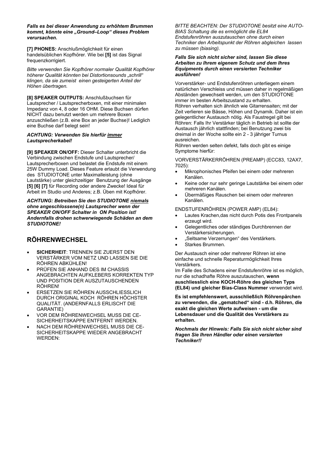*Falls es bei dieser Anwendung zu erhöhtem Brummen kommt, könnte eine "Ground–Loop" dieses Problem verursachen.*

**[7] PHONES:** Anschlußmöglichkeit für einen handelsüblichen Kopfhörer. Wie bei **[5]** ist das Signal frequenzkorrigiert.

*Bitte verwenden Sie Kopfhörer normaler Qualität Kopfhörer höherer Qualität könnten bei Distortionsounds "schrill" klingen, da sie zumeist einen gesteigerten Anteil der Höhen übertragen.*

**[8] SPEAKER OUTPUTS:** Anschlußbuchsen für Lautsprecher / Lautsprecherboxen, mit einer minimalen Impedanz von 4, 8 oder 16 OHM. Diese Buchsen dürfen NICHT dazu benutzt werden um mehrere Boxen anzuschließen (z.B. eine Box an jeder Buchse)! Lediglich eine Buchse darf belegt sein!

#### *ACHTUNG: Verwenden Sie hierfür immer Lautsprecherkabel!*

**[9] SPEAKER ON/OFF:** Dieser Schalter unterbricht die Verbindung zwischen Endstufe und Lautsprecher/ Lautsprecherboxen und belastet die Endstufe mit einem 25W Dummy Load. Dieses Feature erlaubt die Verwendung des STUDIOTONE unter Maximalleistung (ohne Lautstärke) unter gleichzeitiger Benutzung der Ausgänge **[5] [6] [7]** für Recording oder andere Zwecke! Ideal für Arbeit im Studio und Anderes; z.B. Üben mit Kopfhörer.

*ACHTUNG: Betreiben Sie den STUDIOTONE niemals ohne angeschlossene(n) Lautsprecher wenn der SPEAKER ON/OFF Schalter in ON Position ist! Andernfalls drohen schwerwiegende Schäden an dem STUDIOTONE!*

## **RÖHRENWECHSEL**

- **SICHERHEIT**: TRENNEN SIE ZUERST DEN VERSTÄRKER VOM NETZ UND LASSEN SIE DIE RÖHREN ABKÜHLEN!
- PRÜFEN SIE ANHAND DES IM CHASSIS ANGEBRACHTEN AUFKLEBERS KORREKTEN TYP UND POSITION DER AUSZUTAUSCHENDEN RÖHREN!
- ERSETZEN SIE RÖHREN AUSSCHLIESSLICH DURCH ORIGINAL KOCH RÖHREN HÖCHSTER QUALITÄT. (ANDERNFALLS ERLISCHT DIE GARANTIE)
- VOR DEM RÖHRENWECHSEL MUSS DIE CE-SICHERHEITSKAPPE ENTFERNT WERDEN.
- NACH DEM RÖHRENWECHSEL MUSS DIE CE-SICHERHEITSKAPPE WIEDER ANGEBRACHT WERDEN:

*BITTE BEACHTEN: Der STUDIOTONE besitzt eine AUTO-BIAS Schaltung die es ermöglicht die EL84 Endstufenröhren auszutauschen ohne durch einen Techniker den Arbeitspunkt der Röhren abgleichen lassen zu müssen (biasing).*

#### *Falls Sie sich nicht sicher sind, lassen Sie diese Arbeiten zu Ihrem eigenem Schutz und dem Ihres Equipments durch einen versierten Techniker ausführen!*

Vorverstärker- und Endstufenröhren unterliegem einem natürlichen Verschleiss und müssen daher in regelmäßigen Abständen gewechselt werden, um den STUDIOTONE immer im besten Arbeitszustand zu erhalten. Röhren verhalten sich ähnlich wie Gitarrensaiten; mit der Zeit verlieren sie Bässe, Höhen und Dynamik. Daher ist ein gelegentlicher Austausch nötig. Als Faustregel gilt bei Röhren: Falls Ihr Verstärker täglich in Betrieb ist sollte der Austausch jährlich stattfinden; bei Benutzung zwei bis dreimal in der Woche sollte ein 2 - 3 jähriger Turnus ausreichen.

Röhren werden selten defekt, falls doch gibt es einige Symptome hierfür:

VORVERSTÄRKERRÖHREN (PREAMP) (ECC83, 12AX7, 7025):

- Mikrophonisches Pfeifen bei einem oder mehreren Kanälen.
- Keine oder nur sehr geringe Lautstärke bei einem oder mehreren Kanälen.
- Übermäßiges Rauschen bei einem oder mehreren Kanälen.

ENDSTUFENRÖHREN (POWER AMP) (EL84):

- Lautes Krachen,das nicht durch Potis des Frontpanels erzeugt wird.
- Gelegentliches oder ständiges Durchbrennen der Verstärkersicherungen.
- "Seltsame Verzerrungen" des Verstärkers.
- Starkes Brummen.

Der Austausch einer oder mehrerer Röhren ist eine einfache und schnelle Reperaturmöglichkeit Ihres Verstärkers.

Im Falle des Schadens einer Endstufenröhre ist es möglich, nur die schadhafte Röhre auszutauschen, **wenn auschliesslich eine KOCH-Röhre des gleichen Typs (EL84) und gleicher Bias-Class Nummer** verwendet wird.

**Es ist empfehlenswert, ausschließlich Röhrenpärchen** zu verwenden, die "gematched" sind - d.h. Röhren, die **exakt die gleichen Werte aufweisen - um die Lebensdauer und die Qualität des Verstärkers zu erhalten.**

*Nochmals der Hinweis: Falls Sie sich nicht sicher sind fragen Sie Ihren Händler oder einen versierten Techniker!!*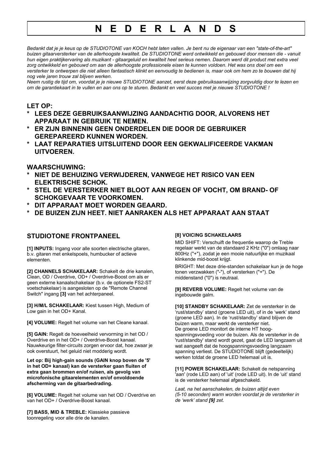## **N E D E R L A N D S**

*Bedankt dat je je keus op de STUDIOTONE van KOCH hebt laten vallen. Je bent nu de eigenaar van een "state-of-the-art" buizen gitaarversterker van de allerhoogste kwaliteit. De STUDIOTONE werd ontwikkeld en gebouwd door mensen die - vanuit hun eigen praktijkervaring als muzikant - gitaargeluid en kwaliteit heel serieus nemen. Daarom werd dit product met extra veel zorg ontwikkeld en gebouwd om aan de allerhoogste professionele eisen te kunnen voldoen. Het was ons doel om een versterker te ontwerpen die niet alleen fantastisch klinkt en eenvoudig te bedienen is, maar ook om hem zo te bouwen dat hij nog vele jaren trouw zal blijven werken.*

*Neem rustig de tijd om, voordat je je nieuwe STUDIOTONE aanzet, eerst deze gebruiksaanwijzing zorgvuldig door te lezen en om de garantiekaart in te vullen en aan ons op te sturen. Bedankt en veel succes met je nieuwe STUDIOTONE !*

### **LET OP:**

- LEES DEZE GEBRUIKSAANWIJZING AANDACHTIG DOOR, ALVORENS HET **APPARAAT IN GEBRUIK TE NEMEN.**
- **\* ER ZIJN BINNENIN GEEN ONDERDELEN DIE DOOR DE GEBRUIKER GEREPAREERD KUNNEN WORDEN.**
- **\* LAAT REPARATIES UITSLUITEND DOOR EEN GEKWALIFICEERDE VAKMAN UITVOEREN.**

### **WAARSCHUWING:**

- **\* NIET DE BEHUIZING VERWIJDEREN, VANWEGE HET RISICO VAN EEN ELEKTRISCHE SCHOK.**
- **\* STEL DE VERSTERKER NIET BLOOT AAN REGEN OF VOCHT, OM BRAND- OF SCHOKGEVAAR TE VOORKOMEN.**
- DIT APPARAAT MOET WORDEN GEAARD.
- **\* DE BUIZEN ZIJN HEET. NIET AANRAKEN ALS HET APPARAAT AAN STAAT**

## **STUDIOTONE FRONTPANEEL**

**[1] INPUTS:** Ingang voor alle soorten electrische gitaren, b.v. gitaren met enkelspoels, humbucker of actieve elementen.

**[2] CHANNELS SCHAKELAAR:** Schakelt de drie kanalen, Clean, OD / Overdrive, OD+ / Overdrive-Boost om als er geen externe kanaalschakelaar (b.v. de optionele FS2-ST voetschakelaar) is aangesloten op de "Remote Channel Switch" ingang **[3]** van het achterpaneel.

**[3] H/M/L SCHAKELAAR:** Kiest tussen High, Medium of Low gain in het OD+ Kanal.

**[4] VOLUME:** Regelt het volume van het Cleane kanaal.

**[5] GAIN:** Regelt de hoeveelheid vervorming in het OD / Overdrive en in het OD+ / Overdrive-Boost kanaal. Nauwkeurige filter-circuits zorgen ervoor dat, hoe zwaar je ook overstuurt, het geluid niet modderig wordt.

**Let op: Bij high-gain sounds (GAIN knop boven de '5' in het OD+ kanaal) kan de versterker gaan fluiten of extra gaan brommen en/of ruisen, als gevolg van microfonische gitaarelementen en/of onvoldoende afscherming van de gitaarbedrading.**

**[6] VOLUME:** Regelt het volume van het OD / Overdrive en van het OD+ / Overdrive-Boost kanaal.

**[7] BASS, MID & TREBLE:** Klassieke passieve toonregeling voor alle drie de kanalen.

#### **[8] VOICING SCHAKELAARS**

MID SHIFT: Verschuift de frequentie waarop de Treble regelaar werkt van de standaard 2 KHz ("0") omlaag naar 800Hz ("+"), zodat je een mooie natuurlijke en muzikaal klinkende mid-boost krijgt.

BRIGHT: Met deze drie-standen schakelaar kun je de hoge tonen verzwakken ("-"), of versterken ("+"). De middenstand ("0") is neutraal.

**[9] REVERB VOLUME:** Regelt het volume van de ingebouwde galm.

**[10] STANDBY SCHAKELAAR:** Zet de versterker in de 'rust/standby' stand (groene LED uit), of in de 'werk' stand (groene LED aan). In de 'rust/standby' stand blijven de buizen warm, maar werkt de versterker niet. De groene LED monitort de interne HT hoogspanningsvoeding voor de buizen. Als de versterker in de 'rust/standby' stand wordt gezet, gaat de LED langzaam uit wat aangeeft dat de hoogspanningsvoeding langzaam spanning verliest. De STUDIOTONE blijft (gedeeltelijk) werken totdat de groene LED helemaal uit is.

**[11] POWER SCHAKELAAR:** Schakelt de netspanning 'aan' (rode LED aan) of 'uit' (rode LED uit). In de 'uit' stand is de versterker helemaal afgeschakeld.

*Laat, na het aanschakelen, de buizen altijd even (5-10 seconden) warm worden voordat je de versterker in de 'werk' stand [9] zet.*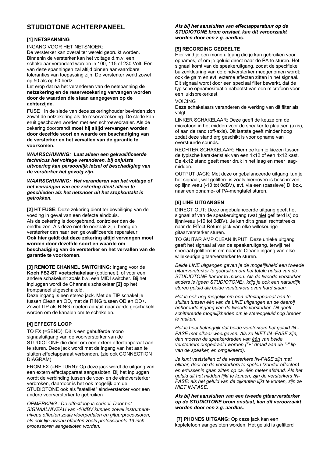## **STUDIOTONE ACHTERPANEEL**

#### **[1] NETSPANNING**

INGANG VOOR HET NETSNOER:

De versterker kan overal ter wereld gebruikt worden. Binnenin de versterker kan het voltage d.m.v. een schakelaar veranderd worden in 100, 115 of 230 Volt. Eén van deze spanningen zal altijd binnen aanvaardbare toleranties van toepassing zijn. De versterker werkt zowel op 50 als op 60 hertz.

Let erop dat na het veranderen van de netspanning **de netzekering en de reservezekering vervangen worden door de waarden die staan aangegeven op de achterzijde.**

FUSE : In de slede van deze zekeringhouder bevinden zich zowel de netzekering als de reservezekering. De slede kan eruit geschoven worden met een schroevedraaier. Als de zekering doorbrandt **moet hij altijd vervangen worden door dezelfde soort en waarde om beschadiging van de versterker en het vervallen van de garantie te voorkomen.**

*WAARSCHUWING: Laat alleen een gekwalificeerde technicus het voltage veranderen. bij onjuiste uitvoering kan persoonlijk letsel of beschadiging van de versterker het gevolg zijn.*

*WAARSCHUWING: Het veranderen van het voltage of het vervangen van een zekering dient alleen te geschieden als het netsnoer uit het stopkontakt is getrokken.*

**[2] HT FUSE:** Deze zekering dient ter beveiliging van de voeding in geval van een defecte eindbuis. Als de zekering is doorgebrand, controleer dan de eindbuizen. Als deze niet de oorzaak zijn, breng de versterker dan naar een gekwalificeerde reparateur. **Ook hier geldt dat deze zekering altijd vervangen moet worden door dezelfde soort en waarde om beschadiging van de versterker en het vervallen van de garantie te voorkomen.**

**[3] REMOTE CHANNEL SWITCHING:** Ingang voor de **Koch FS2-ST voetschakelaar** (optioneel), of voor een andere schakelunit zoals b.v. een MIDI switcher. Bij het inpluggen wordt de Channels schakelaar **[2]** op het frontpaneel uitgeschakeld.

Deze ingang is een stereo jack. Met de TIP schakel je tussen Clean en OD, met de RING tussen OD en OD+. Zowel TIP als RING moeten aan/uit naar aarde geschakeld worden om de kanalen om te schakelen.

#### **[4] EFFECTS LOOP**

TO FX (=SEND): Dit is een gebufferde mono signaaluitgang van de voorversterker van de STUDIOTONE die dient om een extern effectapparaat aan te sturen. Deze jack wordt met de ingang van het aan te sluiten effectapparaat verbonden. (zie ook CONNECTION DIAGRAM)

FROM FX (=RETURN): Op deze jack wordt de uitgang van een extern effectapparaat aangesloten. Bij het inpluggen wordt de verbinding tussen de voor- en de eindversterker verbroken, daardoor is het ook mogelijk om de STUDIOTONE ook als "satelliet" eindversterker voor een andere voorversterker te gebruiken

*OPMERKING : De effectloop is serieel. Door het SIGNAALNIVEAU van -10dBV kunnen zowel instrumentniveau effecten zoals vloerpedalen en gitaarprocessoren, als ook lijn-niveau effecten zoals professionele 19 inch processoren aangesloten worden.*

*Als bij het aansluiten van effectapparatuur op de STUDIOTONE brom onstaat, kan dit veroorzaakt worden door een z.g. aardlus.*

#### **[5] RECORDING GEDEELTE**

Hier vind je een mono uitgang die je kan gebruiken voor opnames, of om je geluid direct naar de PA te sturen. Het signaal komt van de speakeruitgang, zodat de specifieke buizenkleuring van de eindversterker meegenomen wordt; ook de galm en evt. externe effecten zitten in het signaal. Dit signaal wordt door een speciaal filter bewerkt, dat de typische opnamesituatie nabootst van een microfoon voor een luidsprekerkast.

#### VOICING

Deze schakelaars veranderen de werking van dit filter als volat.

LINKER SCHAKELAAR: Deze geeft de keuze om de microfoon in het midden voor de speaker te plaatsen (axis), of aan de rand (off-axis). Dit laatste geeft minder hoog zodat deze stand erg geschikt is voor opname van overstuurde sounds.

RECHTER SCHAKELAAR: Hiermee kun je kiezen tussen de typische karakteristiek van een 1x12 of een 4x12 kast. De 4x12 stand geeft meer druk in het laag en meer laagmidden.

OUTPUT JACK: Met deze ongebalanceerde uitgang kun je het signaal, wat gefilterd is zoals hierboven is beschreven, op lijnniveau (-10 tot 0dBV), evt. via een (passieve) DI box, naar een opname- of PA-mengtafel sturen.

#### **[6] LINE UITGANGEN**

DIRECT OUT: Deze ongebalanceerde uitgang geeft het signaal af van de speakeruitgang (wat niet gefilterd is) op lijnniveau (-10 tot 0dBV). Je kan dit signaal rechtstreeks naar de Effect Return jack van elke willekeurige gitaarversterker sturen.

TO GUITAR AMP CLEAN INPUT: Deze unieke uitgang geeft het signaal af van de speakeruitgang, terwijl het speciaal gefilterd is om naar de Cleane ingang van elke willekeurige gitaarversterker te sturen.

*Beide LINE uitgangen geven je de mogelijkheid een tweede gitaarversterker te gebruiken om het totale geluid van de STUDIOTONE harder te maken. Als de tweede versterker anders is (geen STUDIOTONE), krijg je ook een natuurlijk stereo geluid als beide versterkers even hard staan.*

*Het is ook nog mogelijk om een effectapparaat aan te sluiten tussen één van de LINE uitgangen en de daarbij behorende ingang van de tweede versterker. Dit geeft schitterende mogelijkheden om je stereogeluid nog breder te maken.*

*Het is heel belangrijk dat beide versterkers het geluid IN - FASE met elkaar weergeven. Als ze NIET IN -FASE zijn, dan moeten de speakerdraden van één van beide versterkers omgedraaid worden ("+" draad aan de "-" lip van de speaker, en omgekeerd).*

*Je kunt vaststellen of de versterkers IN-FASE zijn met elkaar, door op de versterkers te spelen (zonder effecten) en ertussenin gaan zitten op ca. één meter afstand. Als het geluid uit het midden lijkt te komen, zijn de versterkers IN-FASE; als het geluid van de zijkanten lijkt te komen, zijn ze NIET IN-FASE.*

#### *Als bij het aansluiten van een tweede gitaarversterker op de STUDIOTONE brom onstaat, kan dit veroorzaakt worden door een z.g. aardlus.*

 **[7] PHONES UITGANG:** Op deze jack kan een koptelefoon aangesloten worden. Het geluid is gefilterd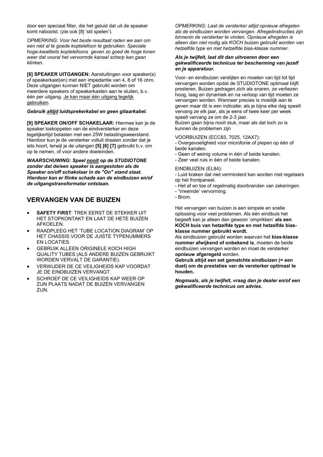door een speciaal filter, die het geluid dat uit de speaker komt nabootst. (zie ook [8] 'stil spelen').

*OPMERKING: Voor het beste resultaat raden we aan om een niet al te goede koptelefoon te gebruiken. Speciale hoge-kwaliteits koptelefoons geven zo goed de hoge tonen weer dat vooral het vervormde kanaal scherp kan gaan klinken.*

**[8] SPEAKER UITGANGEN:** Aansluitingen voor speaker(s) of speakerkast(en) met een impedantie van 4, 8 of 16 ohm. Deze uitgangen kunnen NIET gebruikt worden om meerdere speakers of speakerkasten aan te sluiten, b.v. één per uitgang. Je kan maar één uitgang tegelijk gebruiken.

#### *Gebruik altijd luidsprekerkabel en geen gitaarkabel.*

**[9] SPEAKER ON/OFF SCHAKELAAR:** Hiermee kan je de speaker loskoppelen van de eindversterker en deze tegelijkertijd belasten met een 25W belastingsweerstand. Hierdoor kun je de versterker volluit draaien zonder dat je iets hoort, terwijl je de uitangen **[5] [6] [7]** gebruikt b.v. om op te nemen, of voor andere doeleinden.

*WAARSCHUWING: Speel nooit op de STUDIOTONE zonder dat de/een speaker is aangesloten als de Speaker on/off schakelaar in de "On" stand staat. Hierdoor kan er flinke schade aan de eindbuizen en/of de uitgangstransformator ontstaan.*

### **VERVANGEN VAN DE BUIZEN**

- **SAFETY FIRST**: TREK EERST DE STEKKER UIT HET STOPKONTAKT EN LAAT DE HETE BUIZEN AFKOELEN.
- RAADPLEEG HET 'TUBE LOCATION DIAGRAM' OP HET CHASSIS VOOR DE JUISTE TYPENUMMERS EN LOCATIES.
- **GEBRUIK ALLEEN ORIGINELE KOCH HIGH** QUALITY TUBES (ALS ANDERE BUIZEN GEBRUIKT WORDEN VERVALT DE GARANTIE).
- VERWIJDER DE CE VEILIGHEIDS KAP VOORDAT JE DE EINDBUIZEN VERVANGT.
- SCHROEF DE CE VEILIGHEIDS KAP WEER OP ZIJN PLAATS NADAT DE BUIZEN VERVANGEN ZIJN.

*OPMERKING: Laat de versterker altijd opnieuw afregelen als de eindbuizen worden vervangen. Afregelinstructies zijn binnenin de versterker te vinden. Opnieuw afregelen is alleen dan niet nodig als KOCH buizen gebruikt worden van hetzelfde type en met hetzelfde bias-klasse nummer.*

#### *Als je twijfelt, laat dit dan uitvoeren door een gekwalificeerde technicus ter bescherming van jezelf en je apparatuur.*

Voor- en eindbuizen verslijten en moeten van tijd tot tijd vervangen worden opdat de STUDIOTONE optimaal blijft presteren. Buizen gedragen zich als snaren, ze verliezen hoog, laag en dynamiek en na verloop van tijd moeten ze vervangen worden. Wanneer precies is moeilijk aan te geven maar dit is een indicatie: als je bijna elke dag speelt vervang ze elk jaar, als je eens of twee keer per week speelt vervang ze om de 2-3 jaar.

Buizen gaan bijna nooit stuk, maar als dat toch zo is kunnen de problemen zijn

VOORBUIZEN (ECC83, 7025, 12AX7):

- Overgevoeligheid voor microfonie of piepen op één of beide kanalen.

- Geen of weinig volume in één of beide kanalen.

- Zeer veel ruis in één of beide kanalen.

#### EINDBUIZEN (EL84):

- Luid kraken dat niet verminderd kan worden met regelaars op het frontpaneel.

- Het af en toe of regelmatig doorbranden van zekeringen.

- 'Vreemde' vervorming.
- Brom.

Het vervangen van buizen is een simpele en snelle oplossing voor veel problemen. Als één eindbuis het begeeft kan je alleen dan gewoon 'omprikken' **als een KOCH buis van hetzelfde type en met hetzelfde biasklasse nummer gebruikt wordt.**

Als eindbuizen gebruikt worden waarvan het **bias-klasse nummer afwijkend of onbekend is**, moeten de beide eindbuizen vervangen worden en moet de versterker **opnieuw afgeregeld** worden.

**Gebruik altijd een set gematchte eindbuizen (= een duet) om de prestaties van de versterker optimaal te houden.**

*Nogmaals, als je twijfelt, vraag dan je dealer en/of een gekwalificeerde technicus om advies.*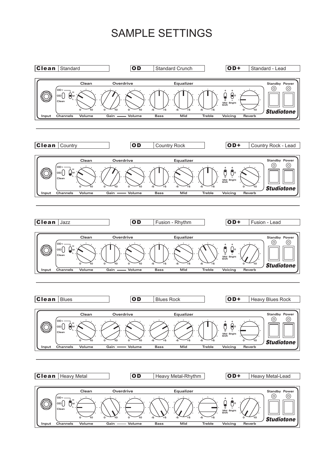# SAMPLE SETTINGS

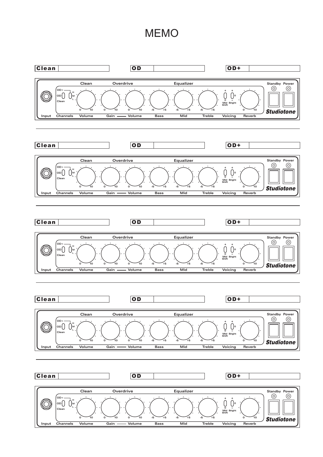## MEMO

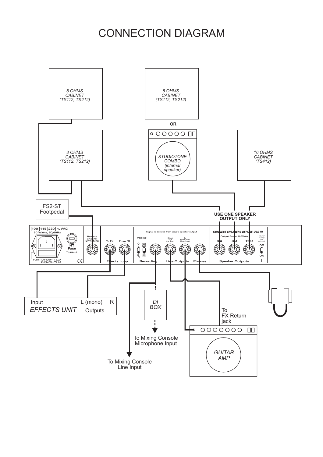# CONNECTION DIAGRAM